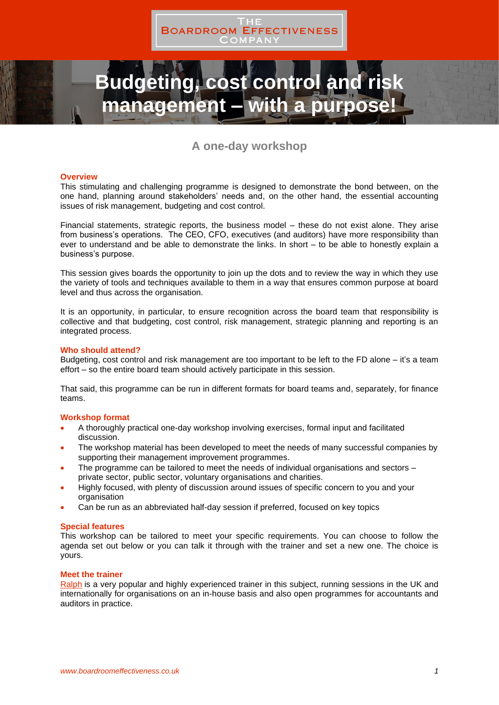

# **Idgeting, cost control and management – with a purpose!**

## **A one-day workshop**

#### **Overview**

This stimulating and challenging programme is designed to demonstrate the bond between, on the one hand, planning around stakeholders' needs and, on the other hand, the essential accounting issues of risk management, budgeting and cost control.

Financial statements, strategic reports, the business model – these do not exist alone. They arise from business's operations. The CEO, CFO, executives (and auditors) have more responsibility than ever to understand and be able to demonstrate the links. In short – to be able to honestly explain a business's purpose.

This session gives boards the opportunity to join up the dots and to review the way in which they use the variety of tools and techniques available to them in a way that ensures common purpose at board level and thus across the organisation.

It is an opportunity, in particular, to ensure recognition across the board team that responsibility is collective and that budgeting, cost control, risk management, strategic planning and reporting is an integrated process.

#### **Who should attend?**

Budgeting, cost control and risk management are too important to be left to the FD alone – it's a team effort – so the entire board team should actively participate in this session.

That said, this programme can be run in different formats for board teams and, separately, for finance teams.

## **Workshop format**

- A thoroughly practical one-day workshop involving exercises, formal input and facilitated discussion.
- The workshop material has been developed to meet the needs of many successful companies by supporting their management improvement programmes.
- The programme can be tailored to meet the needs of individual organisations and sectors private sector, public sector, voluntary organisations and charities.
- Highly focused, with plenty of discussion around issues of specific concern to you and your organisation
- Can be run as an abbreviated half-day session if preferred, focused on key topics

#### **Special features**

This workshop can be tailored to meet your specific requirements. You can choose to follow the agenda set out below or you can talk it through with the trainer and set a new one. The choice is yours.

#### **Meet the trainer**

[Ralph](https://boardroomeffectiveness.co.uk/about-us/the-team/ralph-tiffin/) is a very popular and highly experienced trainer in this subject, running sessions in the UK and internationally for organisations on an in-house basis and also open programmes for accountants and auditors in practice.